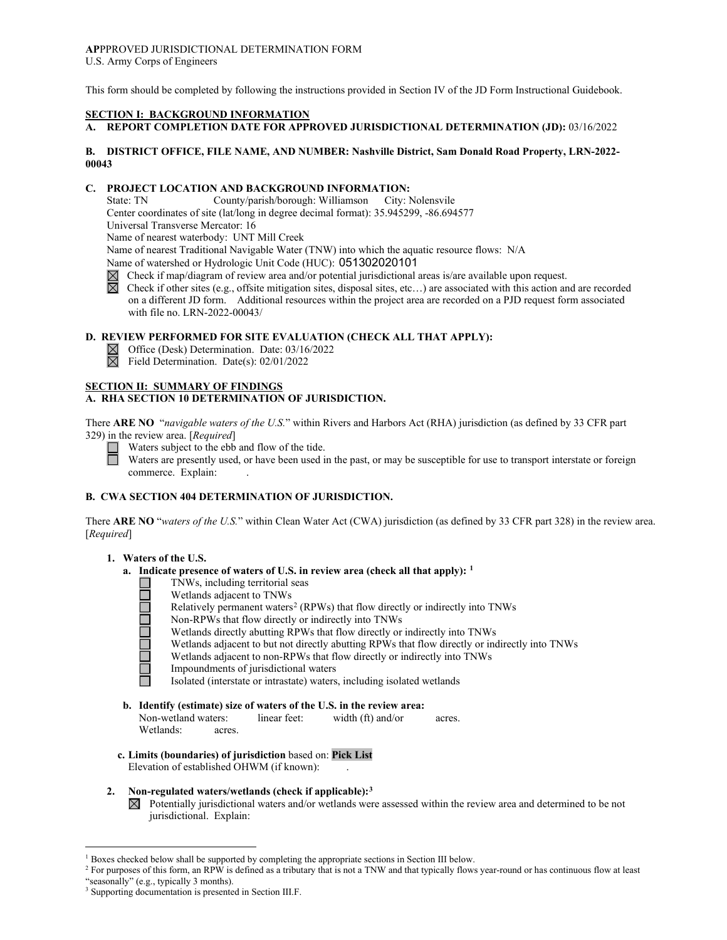## **AP**PPROVED JURISDICTIONAL DETERMINATION FORM U.S. Army Corps of Engineers

This form should be completed by following the instructions provided in Section IV of the JD Form Instructional Guidebook.

## **SECTION I: BACKGROUND INFORMATION**

# **A. REPORT COMPLETION DATE FOR APPROVED JURISDICTIONAL DETERMINATION (JD):** 03/16/2022

## **B. DISTRICT OFFICE, FILE NAME, AND NUMBER: Nashville District, Sam Donald Road Property, LRN-2022- 00043**

## **C. PROJECT LOCATION AND BACKGROUND INFORMATION:**

State: TN County/parish/borough: Williamson City: Nolensvile Center coordinates of site (lat/long in degree decimal format): 35.945299, -86.694577 Universal Transverse Mercator: 16 Name of nearest waterbody: UNT Mill Creek Name of nearest Traditional Navigable Water (TNW) into which the aquatic resource flows: N/A Name of watershed or Hydrologic Unit Code (HUC): 051302020101

- 
- $\boxtimes$  Check if map/diagram of review area and/or potential jurisdictional areas is/are available upon request.<br>
Check if other sites (e.g., offsite mitigation sites, disposal sites, etc...) are associated with this action Check if other sites (e.g., offsite mitigation sites, disposal sites, etc…) are associated with this action and are recorded on a different JD form. Additional resources within the project area are recorded on a PJD request form associated with file no. LRN-2022-00043/

## **D. REVIEW PERFORMED FOR SITE EVALUATION (CHECK ALL THAT APPLY):**

Office (Desk) Determination. Date: 03/16/2022  $\boxtimes$ 

 $\overline{\boxtimes}$ Field Determination. Date(s): 02/01/2022

# **SECTION II: SUMMARY OF FINDINGS**

## **A. RHA SECTION 10 DETERMINATION OF JURISDICTION.**

There **ARE NO** "*navigable waters of the U.S.*" within Rivers and Harbors Act (RHA) jurisdiction (as defined by 33 CFR part 329) in the review area. [*Required*]

 $\Box$ Waters subject to the ebb and flow of the tide.

Waters are presently used, or have been used in the past, or may be susceptible for use to transport interstate or foreign commerce. Explain:

## **B. CWA SECTION 404 DETERMINATION OF JURISDICTION.**

There **ARE NO** "*waters of the U.S.*" within Clean Water Act (CWA) jurisdiction (as defined by 33 CFR part 328) in the review area. [*Required*]

## **1. Waters of the U.S.**

- **a. Indicate presence of waters of U.S. in review area (check all that apply): [1](#page-0-0)**
	- TNWs, including territorial seas
		- Wetlands adjacent to TNWs
	- Relatively permanent waters<sup>[2](#page-0-1)</sup> (RPWs) that flow directly or indirectly into TNWs
	- Non-RPWs that flow directly or indirectly into TNWs
	- Wetlands directly abutting RPWs that flow directly or indirectly into TNWs
	- Wetlands adjacent to but not directly abutting RPWs that flow directly or indirectly into TNWs
	- Wetlands adjacent to non-RPWs that flow directly or indirectly into TNWs
	- Impoundments of jurisdictional waters
	- Isolated (interstate or intrastate) waters, including isolated wetlands
- **b. Identify (estimate) size of waters of the U.S. in the review area:**<br>Non-wetland waters: linear feet: width (ft) and/or

Non-wetland waters: linear feet: width (ft) and/or acres. Wetlands: acres.

**c. Limits (boundaries) of jurisdiction** based on: **Pick List**

Elevation of established OHWM (if known): .

## **2. Non-regulated waters/wetlands (check if applicable):[3](#page-0-2)**

 $\boxtimes$  Potentially jurisdictional waters and/or wetlands were assessed within the review area and determined to be not jurisdictional. Explain:

<span id="page-0-0"></span><sup>&</sup>lt;sup>1</sup> Boxes checked below shall be supported by completing the appropriate sections in Section III below.

<span id="page-0-1"></span><sup>&</sup>lt;sup>2</sup> For purposes of this form, an RPW is defined as a tributary that is not a TNW and that typically flows year-round or has continuous flow at least "seasonally" (e.g., typically 3 months).

<span id="page-0-2"></span><sup>3</sup> Supporting documentation is presented in Section III.F.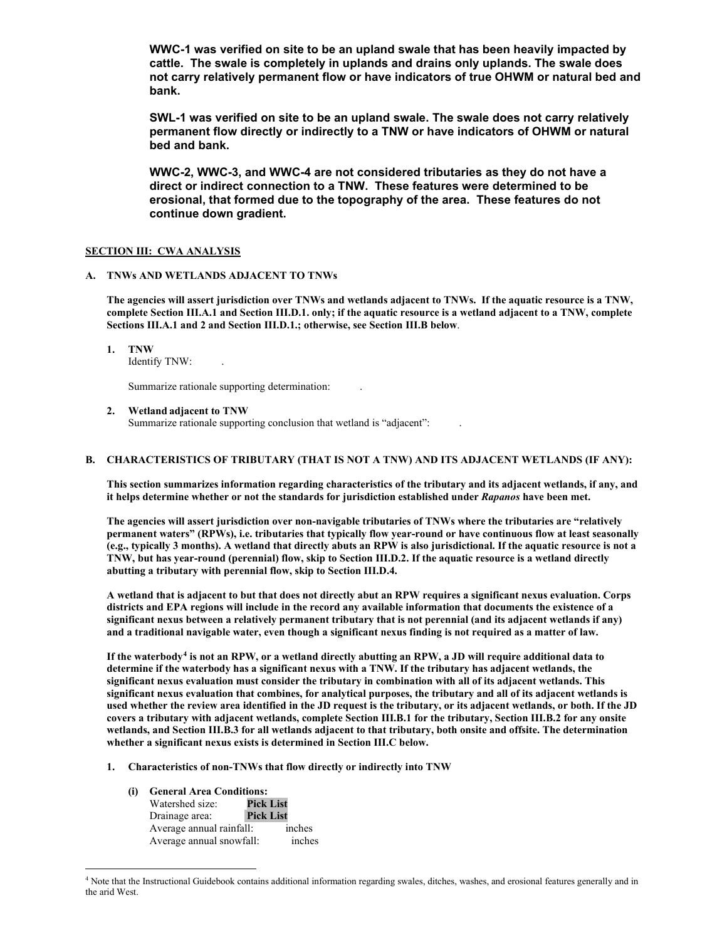**WWC-1 was verified on site to be an upland swale that has been heavily impacted by cattle. The swale is completely in uplands and drains only uplands. The swale does not carry relatively permanent flow or have indicators of true OHWM or natural bed and bank.**

**SWL-1 was verified on site to be an upland swale. The swale does not carry relatively permanent flow directly or indirectly to a TNW or have indicators of OHWM or natural bed and bank.** 

**WWC-2, WWC-3, and WWC-4 are not considered tributaries as they do not have a direct or indirect connection to a TNW. These features were determined to be erosional, that formed due to the topography of the area. These features do not continue down gradient.** 

## **SECTION III: CWA ANALYSIS**

## **A. TNWs AND WETLANDS ADJACENT TO TNWs**

**The agencies will assert jurisdiction over TNWs and wetlands adjacent to TNWs. If the aquatic resource is a TNW, complete Section III.A.1 and Section III.D.1. only; if the aquatic resource is a wetland adjacent to a TNW, complete Sections III.A.1 and 2 and Section III.D.1.; otherwise, see Section III.B below**.

## **1. TNW**

Identify TNW: .

Summarize rationale supporting determination: .

**2. Wetland adjacent to TNW**

Summarize rationale supporting conclusion that wetland is "adjacent":

### **B. CHARACTERISTICS OF TRIBUTARY (THAT IS NOT A TNW) AND ITS ADJACENT WETLANDS (IF ANY):**

**This section summarizes information regarding characteristics of the tributary and its adjacent wetlands, if any, and it helps determine whether or not the standards for jurisdiction established under** *Rapanos* **have been met.**

**The agencies will assert jurisdiction over non-navigable tributaries of TNWs where the tributaries are "relatively permanent waters" (RPWs), i.e. tributaries that typically flow year-round or have continuous flow at least seasonally (e.g., typically 3 months). A wetland that directly abuts an RPW is also jurisdictional. If the aquatic resource is not a TNW, but has year-round (perennial) flow, skip to Section III.D.2. If the aquatic resource is a wetland directly abutting a tributary with perennial flow, skip to Section III.D.4.**

**A wetland that is adjacent to but that does not directly abut an RPW requires a significant nexus evaluation. Corps districts and EPA regions will include in the record any available information that documents the existence of a significant nexus between a relatively permanent tributary that is not perennial (and its adjacent wetlands if any) and a traditional navigable water, even though a significant nexus finding is not required as a matter of law.**

**If the waterbody[4](#page-1-0) is not an RPW, or a wetland directly abutting an RPW, a JD will require additional data to determine if the waterbody has a significant nexus with a TNW. If the tributary has adjacent wetlands, the significant nexus evaluation must consider the tributary in combination with all of its adjacent wetlands. This significant nexus evaluation that combines, for analytical purposes, the tributary and all of its adjacent wetlands is used whether the review area identified in the JD request is the tributary, or its adjacent wetlands, or both. If the JD covers a tributary with adjacent wetlands, complete Section III.B.1 for the tributary, Section III.B.2 for any onsite wetlands, and Section III.B.3 for all wetlands adjacent to that tributary, both onsite and offsite. The determination whether a significant nexus exists is determined in Section III.C below.**

- **1. Characteristics of non-TNWs that flow directly or indirectly into TNW**
	- **(i) General Area Conditions:** Watershed size: Drainage area: **Pick List** Average annual rainfall: inches<br>Average annual snowfall: inches Average annual snowfall:

<span id="page-1-0"></span><sup>&</sup>lt;sup>4</sup> Note that the Instructional Guidebook contains additional information regarding swales, ditches, washes, and erosional features generally and in the arid West.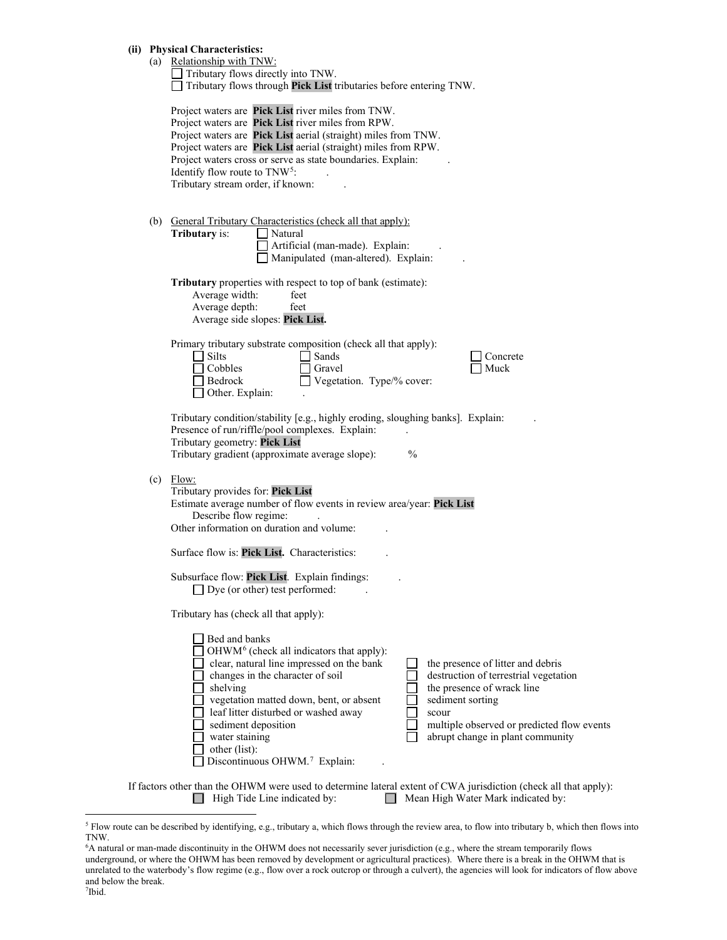|  |  | (ii) Physical Characteristics: |
|--|--|--------------------------------|
|--|--|--------------------------------|

|     | <b>Physical Characteristics:</b>                                                                                                                                                                                                                                                                                                                                                              |
|-----|-----------------------------------------------------------------------------------------------------------------------------------------------------------------------------------------------------------------------------------------------------------------------------------------------------------------------------------------------------------------------------------------------|
|     | (a) Relationship with TNW:                                                                                                                                                                                                                                                                                                                                                                    |
|     | Tributary flows directly into TNW.                                                                                                                                                                                                                                                                                                                                                            |
|     | Tributary flows through Pick List tributaries before entering TNW.                                                                                                                                                                                                                                                                                                                            |
|     | Project waters are Pick List river miles from TNW.<br>Project waters are Pick List river miles from RPW.<br>Project waters are Pick List aerial (straight) miles from TNW.<br>Project waters are Pick List aerial (straight) miles from RPW.<br>Project waters cross or serve as state boundaries. Explain:<br>Identify flow route to TNW <sup>5</sup> :<br>Tributary stream order, if known: |
|     |                                                                                                                                                                                                                                                                                                                                                                                               |
|     | (b) General Tributary Characteristics (check all that apply):                                                                                                                                                                                                                                                                                                                                 |
|     | Tributary is:<br>Natural                                                                                                                                                                                                                                                                                                                                                                      |
|     | Artificial (man-made). Explain:                                                                                                                                                                                                                                                                                                                                                               |
|     | Manipulated (man-altered). Explain:                                                                                                                                                                                                                                                                                                                                                           |
|     |                                                                                                                                                                                                                                                                                                                                                                                               |
|     | <b>Tributary</b> properties with respect to top of bank (estimate):<br>Average width:<br>feet                                                                                                                                                                                                                                                                                                 |
|     | Average depth:<br>feet                                                                                                                                                                                                                                                                                                                                                                        |
|     | Average side slopes: Pick List.                                                                                                                                                                                                                                                                                                                                                               |
|     |                                                                                                                                                                                                                                                                                                                                                                                               |
|     | Primary tributary substrate composition (check all that apply):                                                                                                                                                                                                                                                                                                                               |
|     | Silts<br>Sands<br>Concrete                                                                                                                                                                                                                                                                                                                                                                    |
|     | Cobbles<br>Gravel<br>Muck                                                                                                                                                                                                                                                                                                                                                                     |
|     | Bedrock<br>Vegetation. Type/% cover:                                                                                                                                                                                                                                                                                                                                                          |
|     | Other. Explain:                                                                                                                                                                                                                                                                                                                                                                               |
|     | Tributary condition/stability [e.g., highly eroding, sloughing banks]. Explain:                                                                                                                                                                                                                                                                                                               |
|     | Presence of run/riffle/pool complexes. Explain:                                                                                                                                                                                                                                                                                                                                               |
|     | Tributary geometry: Pick List                                                                                                                                                                                                                                                                                                                                                                 |
|     | Tributary gradient (approximate average slope):<br>$\frac{0}{0}$                                                                                                                                                                                                                                                                                                                              |
|     |                                                                                                                                                                                                                                                                                                                                                                                               |
| (c) | Flow:                                                                                                                                                                                                                                                                                                                                                                                         |
|     | Tributary provides for: Pick List                                                                                                                                                                                                                                                                                                                                                             |
|     | Estimate average number of flow events in review area/year: Pick List                                                                                                                                                                                                                                                                                                                         |
|     | Describe flow regime:<br>Other information on duration and volume:                                                                                                                                                                                                                                                                                                                            |
|     |                                                                                                                                                                                                                                                                                                                                                                                               |
|     | Surface flow is: Pick List. Characteristics:                                                                                                                                                                                                                                                                                                                                                  |
|     | Subsurface flow: Pick List. Explain findings:                                                                                                                                                                                                                                                                                                                                                 |
|     | $\Box$ Dye (or other) test performed:                                                                                                                                                                                                                                                                                                                                                         |
|     | Tributary has (check all that apply):                                                                                                                                                                                                                                                                                                                                                         |
|     |                                                                                                                                                                                                                                                                                                                                                                                               |
|     | Bed and banks                                                                                                                                                                                                                                                                                                                                                                                 |
|     | OHWM <sup>6</sup> (check all indicators that apply):                                                                                                                                                                                                                                                                                                                                          |
|     | clear, natural line impressed on the bank<br>the presence of litter and debris                                                                                                                                                                                                                                                                                                                |
|     | changes in the character of soil<br>destruction of terrestrial vegetation                                                                                                                                                                                                                                                                                                                     |
|     | the presence of wrack line<br>shelving                                                                                                                                                                                                                                                                                                                                                        |
|     | sediment sorting<br>vegetation matted down, bent, or absent                                                                                                                                                                                                                                                                                                                                   |
|     | leaf litter disturbed or washed away<br>scour                                                                                                                                                                                                                                                                                                                                                 |
|     | sediment deposition<br>multiple observed or predicted flow events<br>water staining                                                                                                                                                                                                                                                                                                           |
|     | abrupt change in plant community<br>other (list):                                                                                                                                                                                                                                                                                                                                             |
|     | Discontinuous OHWM.7 Explain:                                                                                                                                                                                                                                                                                                                                                                 |
|     |                                                                                                                                                                                                                                                                                                                                                                                               |
|     |                                                                                                                                                                                                                                                                                                                                                                                               |

If factors other than the OHWM were used to determine lateral extent of CWA jurisdiction (check all that apply):<br>  $\Box$  High Tide Line indicated by:  $\Box$  Mean High Water Mark indicated by:  $\Box$  Mean High Water Mark indicated by:

<span id="page-2-0"></span><sup>&</sup>lt;sup>5</sup> Flow route can be described by identifying, e.g., tributary a, which flows through the review area, to flow into tributary b, which then flows into TNW.

<span id="page-2-2"></span><span id="page-2-1"></span><sup>6</sup> A natural or man-made discontinuity in the OHWM does not necessarily sever jurisdiction (e.g., where the stream temporarily flows underground, or where the OHWM has been removed by development or agricultural practices). Where there is a break in the OHWM that is unrelated to the waterbody's flow regime (e.g., flow over a rock outcrop or through a culvert), the agencies will look for indicators of flow above and below the break.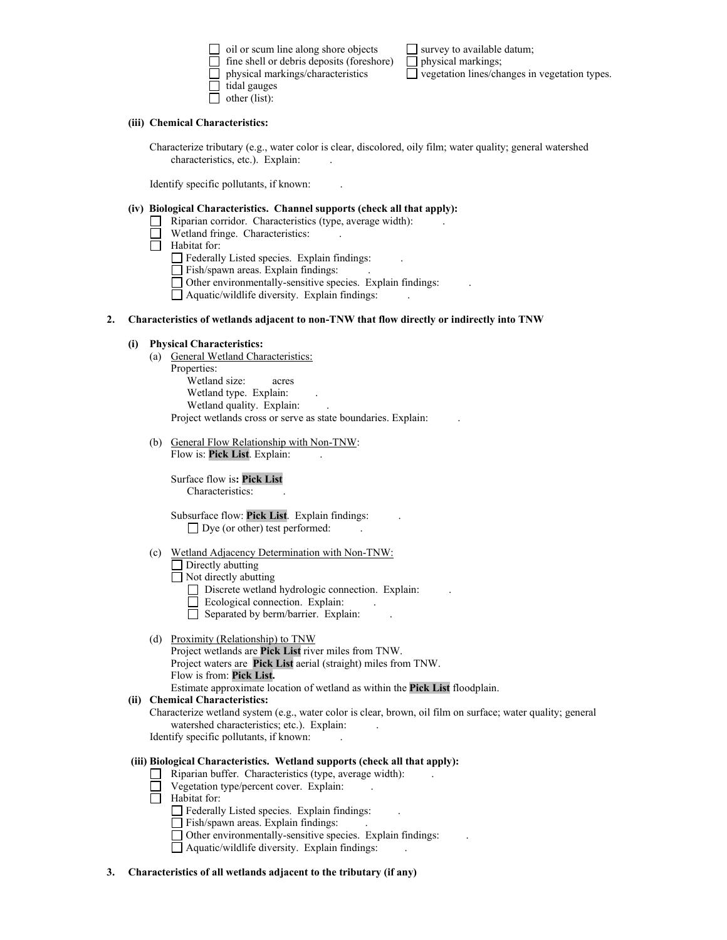$\Box$  oil or scum line along shore objects  $\Box$  survey to available datum;<br> $\Box$  fine shell or debris deposits (foreshore)  $\Box$  physical markings;  $\Box$  fine shell or debris deposits (foreshore) physical markings/characteristics  $\Box$  vegetation lines/changes in vegetation types. tidal gauges  $\Box$  other (list):

### **(iii) Chemical Characteristics:**

Characterize tributary (e.g., water color is clear, discolored, oily film; water quality; general watershed characteristics, etc.). Explain:

Identify specific pollutants, if known: .

#### **(iv) Biological Characteristics. Channel supports (check all that apply):**

- $\Box$  Riparian corridor. Characteristics (type, average width):
- Wetland fringe. Characteristics:
- Habitat for:

Federally Listed species. Explain findings: .

Fish/spawn areas. Explain findings:

Other environmentally-sensitive species. Explain findings: .

Aquatic/wildlife diversity. Explain findings: .

## **2. Characteristics of wetlands adjacent to non-TNW that flow directly or indirectly into TNW**

## **(i) Physical Characteristics:**

(a) General Wetland Characteristics:

Properties: Wetland size: acres Wetland type. Explain: Wetland quality. Explain: Project wetlands cross or serve as state boundaries. Explain: .

(b) General Flow Relationship with Non-TNW:

Flow is: **Pick List**. Explain:

Surface flow is**: Pick List**  Characteristics: .

Subsurface flow: **Pick List**. Explain findings: .  $\Box$  Dye (or other) test performed:

(c) Wetland Adjacency Determination with Non-TNW:

Directly abutting

 $\Box$  Not directly abutting

- Discrete wetland hydrologic connection. Explain: .
- Ecological connection. Explain: .
- $\overline{\Box}$  Separated by berm/barrier. Explain:
- (d) Proximity (Relationship) to TNW
	- Project wetlands are **Pick List** river miles from TNW. Project waters are **Pick List** aerial (straight) miles from TNW. Flow is from: **Pick List.**

Estimate approximate location of wetland as within the **Pick List** floodplain.

## **(ii) Chemical Characteristics:**

Characterize wetland system (e.g., water color is clear, brown, oil film on surface; water quality; general watershed characteristics; etc.). Explain:

Identify specific pollutants, if known: .

## **(iii) Biological Characteristics. Wetland supports (check all that apply):**

- Riparian buffer. Characteristics (type, average width):
- Vegetation type/percent cover. Explain:
- $\Box$  Habitat for:

Federally Listed species. Explain findings:

- Fish/spawn areas. Explain findings:
- Other environmentally-sensitive species. Explain findings: .
- Aquatic/wildlife diversity. Explain findings: .
- **3. Characteristics of all wetlands adjacent to the tributary (if any)**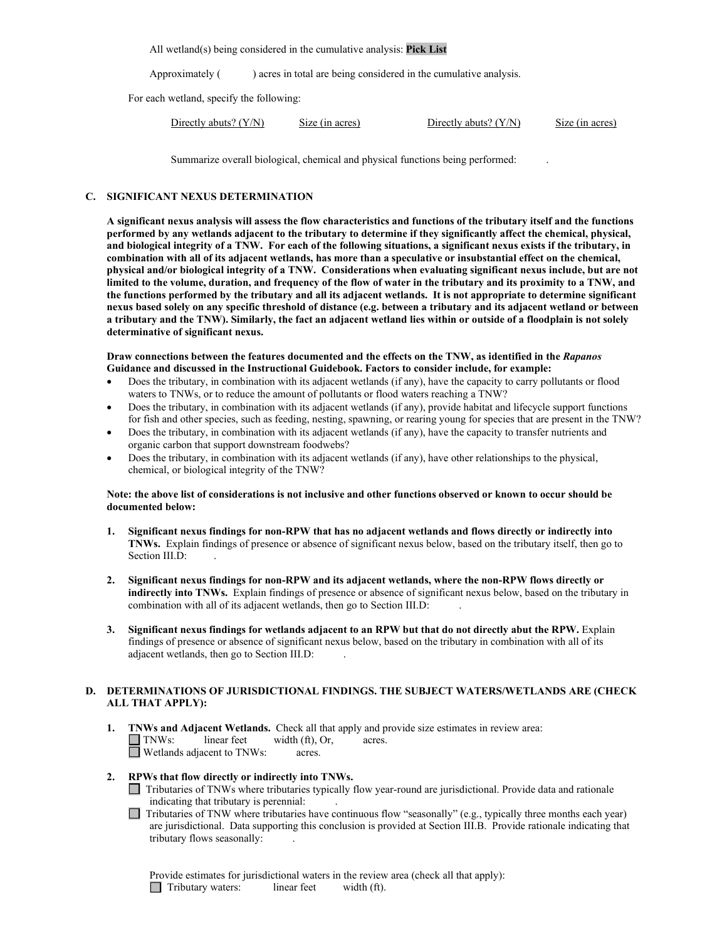All wetland(s) being considered in the cumulative analysis: **Pick List**

Approximately () acres in total are being considered in the cumulative analysis.

For each wetland, specify the following:

| Directly abuts? $(Y/N)$ | S <sub>12</sub> (in acres) | Directly abuts? $(Y/N)$ | Size (in acres) |
|-------------------------|----------------------------|-------------------------|-----------------|
|                         |                            |                         |                 |

Summarize overall biological, chemical and physical functions being performed: .

#### **C. SIGNIFICANT NEXUS DETERMINATION**

**A significant nexus analysis will assess the flow characteristics and functions of the tributary itself and the functions performed by any wetlands adjacent to the tributary to determine if they significantly affect the chemical, physical, and biological integrity of a TNW. For each of the following situations, a significant nexus exists if the tributary, in combination with all of its adjacent wetlands, has more than a speculative or insubstantial effect on the chemical, physical and/or biological integrity of a TNW. Considerations when evaluating significant nexus include, but are not limited to the volume, duration, and frequency of the flow of water in the tributary and its proximity to a TNW, and the functions performed by the tributary and all its adjacent wetlands. It is not appropriate to determine significant nexus based solely on any specific threshold of distance (e.g. between a tributary and its adjacent wetland or between a tributary and the TNW). Similarly, the fact an adjacent wetland lies within or outside of a floodplain is not solely determinative of significant nexus.** 

## **Draw connections between the features documented and the effects on the TNW, as identified in the** *Rapanos* **Guidance and discussed in the Instructional Guidebook. Factors to consider include, for example:**

- Does the tributary, in combination with its adjacent wetlands (if any), have the capacity to carry pollutants or flood waters to TNWs, or to reduce the amount of pollutants or flood waters reaching a TNW?
- Does the tributary, in combination with its adjacent wetlands (if any), provide habitat and lifecycle support functions for fish and other species, such as feeding, nesting, spawning, or rearing young for species that are present in the TNW?
- Does the tributary, in combination with its adjacent wetlands (if any), have the capacity to transfer nutrients and organic carbon that support downstream foodwebs?
- Does the tributary, in combination with its adjacent wetlands (if any), have other relationships to the physical, chemical, or biological integrity of the TNW?

## **Note: the above list of considerations is not inclusive and other functions observed or known to occur should be documented below:**

- **1. Significant nexus findings for non-RPW that has no adjacent wetlands and flows directly or indirectly into TNWs.** Explain findings of presence or absence of significant nexus below, based on the tributary itself, then go to Section III.D:
- **2. Significant nexus findings for non-RPW and its adjacent wetlands, where the non-RPW flows directly or indirectly into TNWs.** Explain findings of presence or absence of significant nexus below, based on the tributary in combination with all of its adjacent wetlands, then go to Section III.D: .
- **3. Significant nexus findings for wetlands adjacent to an RPW but that do not directly abut the RPW.** Explain findings of presence or absence of significant nexus below, based on the tributary in combination with all of its adjacent wetlands, then go to Section III.D: .

## **D. DETERMINATIONS OF JURISDICTIONAL FINDINGS. THE SUBJECT WATERS/WETLANDS ARE (CHECK ALL THAT APPLY):**

**1. TNWs and Adjacent Wetlands.** Check all that apply and provide size estimates in review area:  $\Box$  TNWs: linear feet width (ft), Or, acres. П Wetlands adjacent to TNWs: acres.

## **2. RPWs that flow directly or indirectly into TNWs.**

Tributaries of TNWs where tributaries typically flow year-round are jurisdictional. Provide data and rationale indicating that tributary is perennial: .

Tributaries of TNW where tributaries have continuous flow "seasonally" (e.g., typically three months each year) are jurisdictional. Data supporting this conclusion is provided at Section III.B. Provide rationale indicating that tributary flows seasonally: .

Provide estimates for jurisdictional waters in the review area (check all that apply): Tributary waters: linear feet width (ft).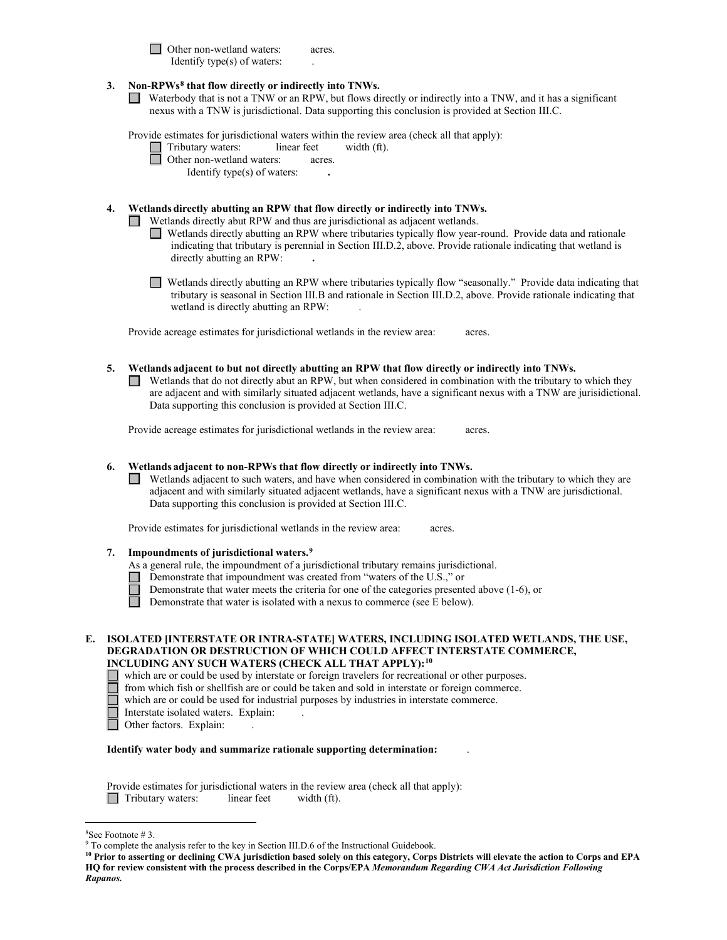□ Other non-wetland waters: acres. Identify type $(s)$  of waters:

## **3. Non-RPWs[8](#page-5-0) that flow directly or indirectly into TNWs.**

Waterbody that is not a TNW or an RPW, but flows directly or indirectly into a TNW, and it has a significant nexus with a TNW is jurisdictional. Data supporting this conclusion is provided at Section III.C.

Provide estimates for jurisdictional waters within the review area (check all that apply):  $\Box$ 

| Tributary waters:         | linear feet | width (ft). |
|---------------------------|-------------|-------------|
| Other non-wetland waters: | acres.      |             |

Identify type(s) of waters: **.**

## **4. Wetlands directly abutting an RPW that flow directly or indirectly into TNWs.**

Wetlands directly abut RPW and thus are jurisdictional as adjacent wetlands.

- Wetlands directly abutting an RPW where tributaries typically flow year-round. Provide data and rationale indicating that tributary is perennial in Section III.D.2, above. Provide rationale indicating that wetland is directly abutting an RPW: **.**
- Wetlands directly abutting an RPW where tributaries typically flow "seasonally." Provide data indicating that tributary is seasonal in Section III.B and rationale in Section III.D.2, above. Provide rationale indicating that wetland is directly abutting an RPW:

Provide acreage estimates for jurisdictional wetlands in the review area: acres.

## **5. Wetlands adjacent to but not directly abutting an RPW that flow directly or indirectly into TNWs.**

 $\Box$  Wetlands that do not directly abut an RPW, but when considered in combination with the tributary to which they are adjacent and with similarly situated adjacent wetlands, have a significant nexus with a TNW are jurisidictional. Data supporting this conclusion is provided at Section III.C.

Provide acreage estimates for jurisdictional wetlands in the review area: acres.

## **6. Wetlands adjacent to non-RPWs that flow directly or indirectly into TNWs.**

Wetlands adjacent to such waters, and have when considered in combination with the tributary to which they are adjacent and with similarly situated adjacent wetlands, have a significant nexus with a TNW are jurisdictional. Data supporting this conclusion is provided at Section III.C.

Provide estimates for jurisdictional wetlands in the review area: acres.

## **7. Impoundments of jurisdictional waters.[9](#page-5-1)**

- As a general rule, the impoundment of a jurisdictional tributary remains jurisdictional.
- Demonstrate that impoundment was created from "waters of the U.S.," or
	- Demonstrate that water meets the criteria for one of the categories presented above (1-6), or
	- Demonstrate that water is isolated with a nexus to commerce (see E below).

| E.    ISOLATED [INTERSTATE OR INTRA-STATE] WATERS, INCLUDING ISOLATED WETLANDS, THE USE, |
|------------------------------------------------------------------------------------------|
| <b>DEGRADATION OR DESTRUCTION OF WHICH COULD AFFECT INTERSTATE COMMERCE,</b>             |
| INCLUDING ANY SUCH WATERS (CHECK ALL THAT APPLY): <sup>10</sup>                          |

which are or could be used by interstate or foreign travelers for recreational or other purposes.

from which fish or shellfish are or could be taken and sold in interstate or foreign commerce.

which are or could be used for industrial purposes by industries in interstate commerce.

Interstate isolated waters. Explain:<br>
Other factors. Explain:

Other factors. Explain:

## **Identify water body and summarize rationale supporting determination:** .

Provide estimates for jurisdictional waters in the review area (check all that apply): Tributary waters: linear feet width (ft).

<span id="page-5-0"></span> $8$ See Footnote # 3

 $9$  To complete the analysis refer to the key in Section III.D.6 of the Instructional Guidebook.

<span id="page-5-2"></span><span id="page-5-1"></span>**<sup>10</sup> Prior to asserting or declining CWA jurisdiction based solely on this category, Corps Districts will elevate the action to Corps and EPA HQ for review consistent with the process described in the Corps/EPA** *Memorandum Regarding CWA Act Jurisdiction Following Rapanos.*